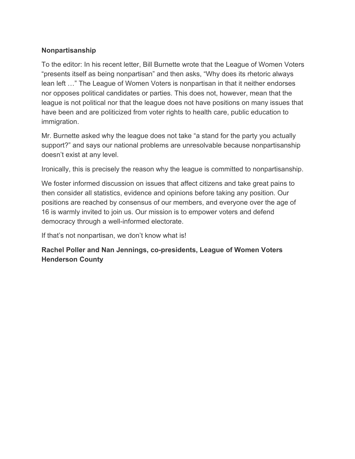## **Nonpartisanship**

To the editor: In his recent letter, Bill Burnette wrote that the League of Women Voters "presents itself as being nonpartisan" and then asks, "Why does its rhetoric always lean left …" The League of Women Voters is nonpartisan in that it neither endorses nor opposes political candidates or parties. This does not, however, mean that the league is not political nor that the league does not have positions on many issues that have been and are politicized from voter rights to health care, public education to immigration.

Mr. Burnette asked why the league does not take "a stand for the party you actually support?" and says our national problems are unresolvable because nonpartisanship doesn't exist at any level.

Ironically, this is precisely the reason why the league is committed to nonpartisanship.

We foster informed discussion on issues that affect citizens and take great pains to then consider all statistics, evidence and opinions before taking any position. Our positions are reached by consensus of our members, and everyone over the age of 16 is warmly invited to join us. Our mission is to empower voters and defend democracy through a well-informed electorate.

If that's not nonpartisan, we don't know what is!

## **Rachel Poller and Nan Jennings, co-presidents, League of Women Voters Henderson County**